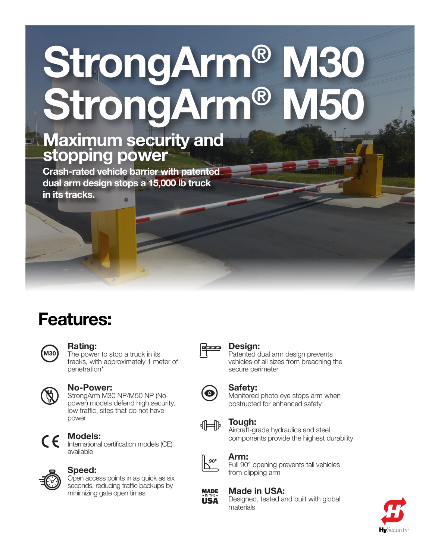# StrongArm® M30 StrongArm®

### Maximum security and stopping power

Crash-rated vehicle barrier with patented dual arm design stops a 15,000 lb truck in its tracks.

## Features:



#### Rating:

The power to stop a truck in its tracks, with approximately 1 meter of penetration\*



#### No-Power:

StrongArm M30 NP/M50 NP (Nopower) models defend high security, low traffic, sites that do not have power



#### Models:

International certification models (CE) available



#### Speed:

Open access points in as quick as six seconds, reducing traffic backups by minimizing gate open times



#### Design:

Patented dual arm design prevents vehicles of all sizes from breaching the secure perimeter



#### Safety:

Monitored photo eye stops arm when obstructed for enhanced safety



#### Tough:

Aircraft-grade hydraulics and steel components provide the highest durability



#### Arm:

Full 90° opening prevents tall vehicles from clipping arm



#### Made in USA:

Designed, tested and built with global materials